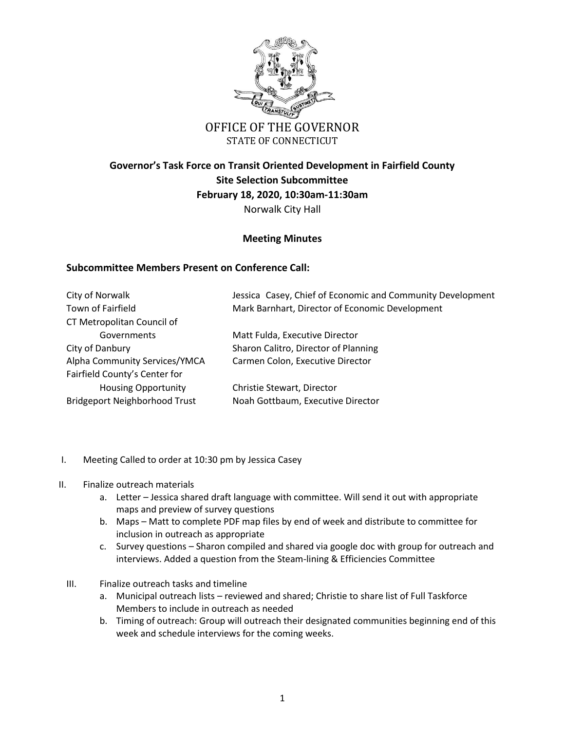

STATE OF CONNECTICUT

## **Governor's Task Force on Transit Oriented Development in Fairfield County Site Selection Subcommittee February 18, 2020, 10:30am-11:30am** Norwalk City Hall

## **Meeting Minutes**

## **Subcommittee Members Present on Conference Call:**

| City of Norwalk                      | Jessica Casey, Chief of Economic and Community Development |
|--------------------------------------|------------------------------------------------------------|
| Town of Fairfield                    | Mark Barnhart, Director of Economic Development            |
| CT Metropolitan Council of           |                                                            |
| Governments                          | Matt Fulda, Executive Director                             |
| City of Danbury                      | Sharon Calitro, Director of Planning                       |
| Alpha Community Services/YMCA        | Carmen Colon, Executive Director                           |
| Fairfield County's Center for        |                                                            |
| <b>Housing Opportunity</b>           | Christie Stewart, Director                                 |
| <b>Bridgeport Neighborhood Trust</b> | Noah Gottbaum, Executive Director                          |

- I. Meeting Called to order at 10:30 pm by Jessica Casey
- II. Finalize outreach materials
	- a. Letter Jessica shared draft language with committee. Will send it out with appropriate maps and preview of survey questions
	- b. Maps Matt to complete PDF map files by end of week and distribute to committee for inclusion in outreach as appropriate
	- c. Survey questions Sharon compiled and shared via google doc with group for outreach and interviews. Added a question from the Steam-lining & Efficiencies Committee
	- III. Finalize outreach tasks and timeline
		- a. Municipal outreach lists reviewed and shared; Christie to share list of Full Taskforce Members to include in outreach as needed
		- b. Timing of outreach: Group will outreach their designated communities beginning end of this week and schedule interviews for the coming weeks.